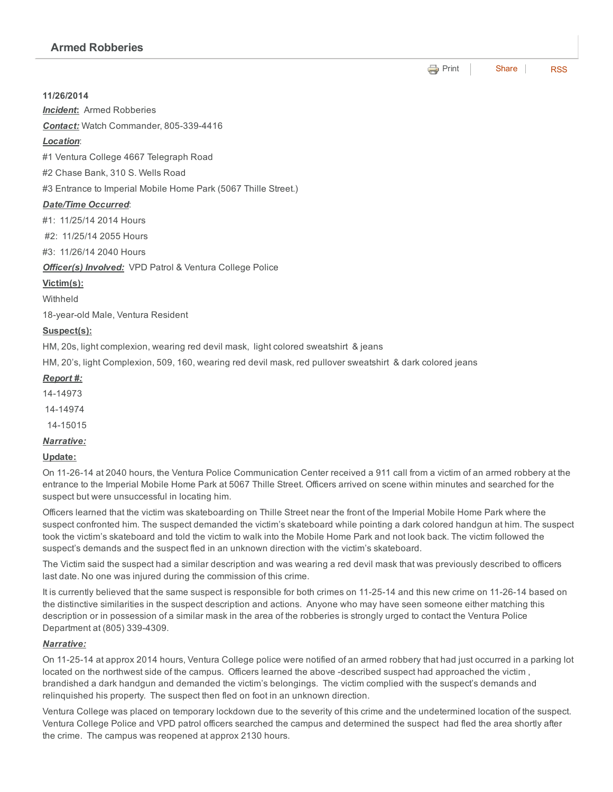**e** [Print](http://www.cityofventura.net/print/16292) | [Share](javascript:void(0)) | [RSS](http://www.cityofventura.net/feed/press_release/rss.xml)

11/26/2014

*Incident*: Armed Robberies

**Contact:** Watch Commander, 805-339-4416

## *Location*:

#1 Ventura College 4667 Telegraph Road

#2 Chase Bank, 310 S. Wells Road

#3 Entrance to Imperial Mobile Home Park (5067 Thille Street.)

#### *Date/Time Occurred*:

#1: 11/25/14 2014 Hours

#2: 11/25/14 2055 Hours

#3: 11/26/14 2040 Hours

*Officer(s) Involved:* VPD Patrol & Ventura College Police

#### Victim(s):

**Withheld** 

18-year-old Male, Ventura Resident

## Suspect(s):

HM, 20s, light complexion, wearing red devil mask, light colored sweatshirt & jeans

HM, 20's, light Complexion, 509, 160, wearing red devil mask, red pullover sweatshirt & dark colored jeans

## *Report #:*

- 1414973
- 1414974

1415015

## *Narrative:*

#### Update:

On 11-26-14 at 2040 hours, the Ventura Police Communication Center received a 911 call from a victim of an armed robbery at the entrance to the Imperial Mobile Home Park at 5067 Thille Street. Officers arrived on scene within minutes and searched for the suspect but were unsuccessful in locating him.

Officers learned that the victim was skateboarding on Thille Street near the front of the Imperial Mobile Home Park where the suspect confronted him. The suspect demanded the victim's skateboard while pointing a dark colored handgun at him. The suspect took the victim's skateboard and told the victim to walk into the Mobile Home Park and not look back. The victim followed the suspect's demands and the suspect fled in an unknown direction with the victim's skateboard.

The Victim said the suspect had a similar description and was wearing a red devil mask that was previously described to officers last date. No one was injured during the commission of this crime.

It is currently believed that the same suspect is responsible for both crimes on 11-25-14 and this new crime on 11-26-14 based on the distinctive similarities in the suspect description and actions. Anyone who may have seen someone either matching this description or in possession of a similar mask in the area of the robberies is strongly urged to contact the Ventura Police Department at (805) 339-4309.

## *Narrative:*

On 11-25-14 at approx 2014 hours, Ventura College police were notified of an armed robbery that had just occurred in a parking lot located on the northwest side of the campus. Officers learned the above -described suspect had approached the victim, brandished a dark handgun and demanded the victim's belongings. The victim complied with the suspect's demands and relinquished his property. The suspect then fled on foot in an unknown direction.

Ventura College was placed on temporary lockdown due to the severity of this crime and the undetermined location of the suspect. Ventura College Police and VPD patrol officers searched the campus and determined the suspect had fled the area shortly after the crime. The campus was reopened at approx 2130 hours.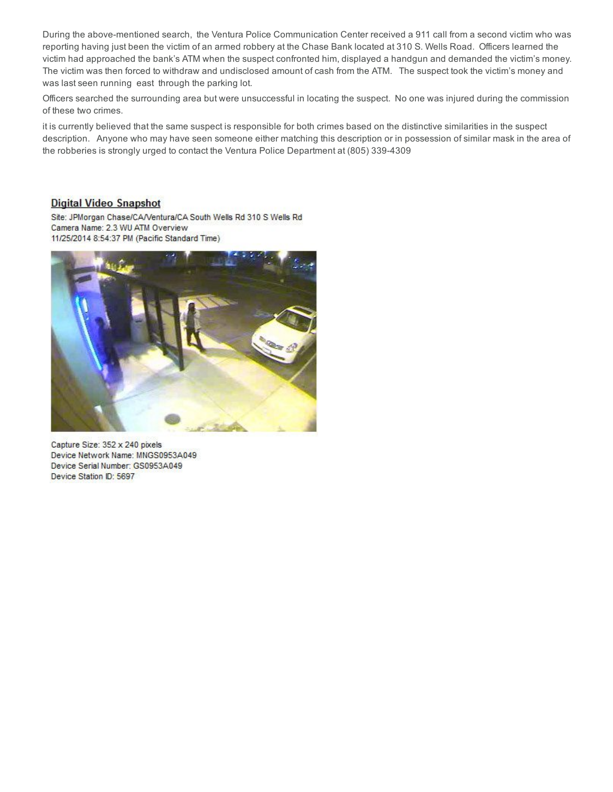During the above-mentioned search, the Ventura Police Communication Center received a 911 call from a second victim who was reporting having just been the victim of an armed robbery at the Chase Bank located at 310 S. Wells Road. Officers learned the victim had approached the bank's ATM when the suspect confronted him, displayed a handgun and demanded the victim's money. The victim was then forced to withdraw and undisclosed amount of cash from the ATM. The suspect took the victim's money and was last seen running east through the parking lot.

Officers searched the surrounding area but were unsuccessful in locating the suspect. No one was injured during the commission of these two crimes.

it is currently believed that the same suspect is responsible for both crimes based on the distinctive similarities in the suspect description. Anyone who may have seen someone either matching this description or in possession of similar mask in the area of the robberies is strongly urged to contact the Ventura Police Department at (805) 3394309

#### **Digital Video Snapshot**

Site: JPMorgan Chase/CA/Ventura/CA South Wells Rd 310 S Wells Rd Camera Name: 2.3 WU ATM Overview 11/25/2014 8:54:37 PM (Pacific Standard Time)



Capture Size: 352 x 240 pixels Device Network Name: MNGS0953A049 Device Serial Number: GS0953A049 Device Station ID: 5697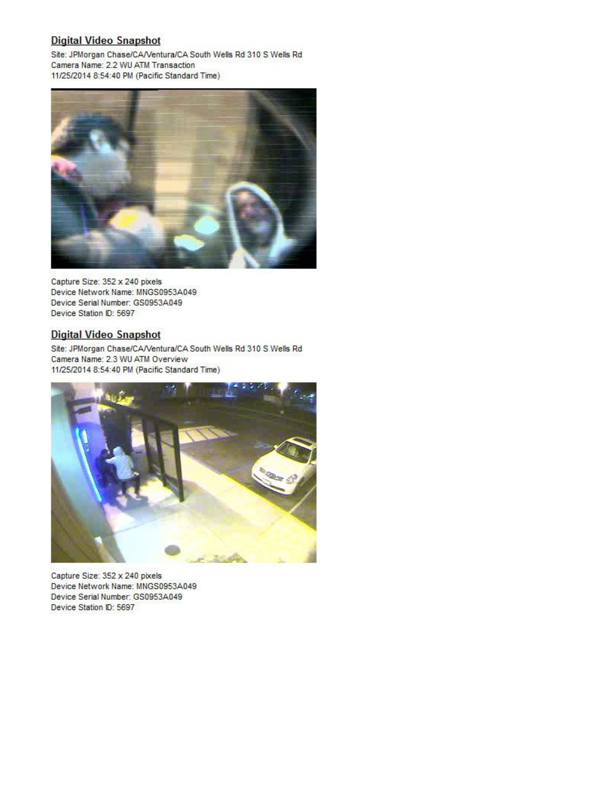## **Digital Video Snapshot**

Site: JPMorgan Chase/CA/Ventura/CA South Wells Rd 310 S Wells Rd Camera Name: 2.2 WU ATM Transaction 11/25/2014 8:54:40 PM (Pacific Standard Time)



Capture Size: 352 x 240 pixels Device Network Name: MNGS0953A049 Device Serial Number: GS0953A049 Device Station ID: 5697

## **Digital Video Snapshot**

Site: JPMorgan Chase/CA/Ventura/CA South Wells Rd 310 S Wells Rd Camera Name: 2.3 WU ATM Overview 11/25/2014 8:54:40 PM (Pacific Standard Time)



Capture Size: 352 x 240 pixels Device Network Name: MNGS0953A049 Device Serial Number: GS0953A049 Device Station ID: 5697